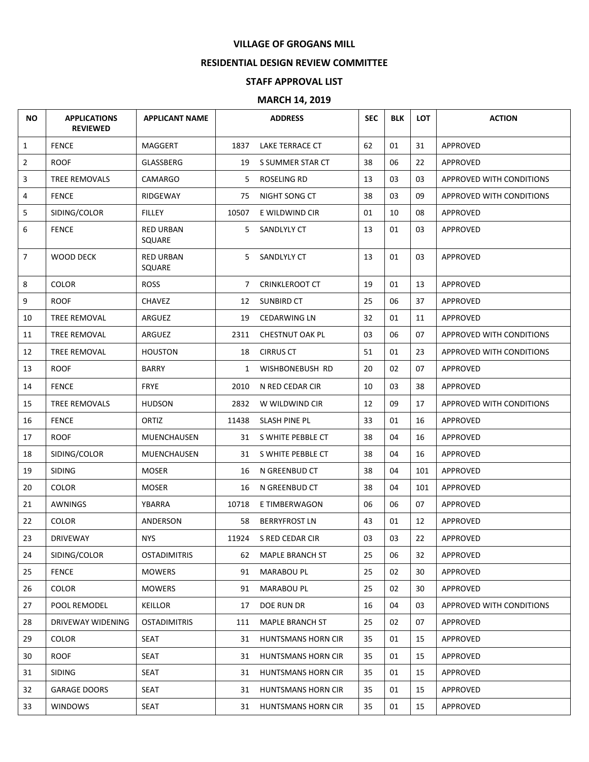## **VILLAGE OF GROGANS MILL**

## **RESIDENTIAL DESIGN REVIEW COMMITTEE**

## **STAFF APPROVAL LIST**

## **MARCH 14, 2019**

| <b>NO</b>      | <b>APPLICATIONS</b><br><b>REVIEWED</b> | <b>APPLICANT NAME</b>      |             | <b>ADDRESS</b>            | <b>SEC</b> | <b>BLK</b> | <b>LOT</b> | <b>ACTION</b>            |
|----------------|----------------------------------------|----------------------------|-------------|---------------------------|------------|------------|------------|--------------------------|
| $\mathbf{1}$   | <b>FENCE</b>                           | MAGGERT                    | 1837        | LAKE TERRACE CT           | 62         | 01         | 31         | APPROVED                 |
| $\overline{2}$ | <b>ROOF</b>                            | GLASSBERG                  | 19          | S SUMMER STAR CT          | 38         | 06         | 22         | APPROVED                 |
| 3              | TREE REMOVALS                          | <b>CAMARGO</b>             | 5           | ROSELING RD               | 13         | 03         | 03         | APPROVED WITH CONDITIONS |
| 4              | <b>FENCE</b>                           | RIDGEWAY                   | 75          | NIGHT SONG CT             | 38         | 03         | 09         | APPROVED WITH CONDITIONS |
| 5              | SIDING/COLOR                           | <b>FILLEY</b>              | 10507       | E WILDWIND CIR            | 01         | 10         | 08         | APPROVED                 |
| 6              | <b>FENCE</b>                           | <b>RED URBAN</b><br>SQUARE | 5.          | SANDLYLY CT               | 13         | 01         | 03         | APPROVED                 |
| $\overline{7}$ | WOOD DECK                              | <b>RED URBAN</b><br>SQUARE | 5.          | SANDLYLY CT               | 13         | 01         | 03         | APPROVED                 |
| 8              | <b>COLOR</b>                           | <b>ROSS</b>                | $7^{\circ}$ | <b>CRINKLEROOT CT</b>     | 19         | 01         | 13         | APPROVED                 |
| 9              | <b>ROOF</b>                            | <b>CHAVEZ</b>              | 12          | <b>SUNBIRD CT</b>         | 25         | 06         | 37         | APPROVED                 |
| 10             | <b>TREE REMOVAL</b>                    | ARGUEZ                     | 19          | <b>CEDARWING LN</b>       | 32         | 01         | 11         | <b>APPROVED</b>          |
| 11             | TREE REMOVAL                           | ARGUEZ                     | 2311        | <b>CHESTNUT OAK PL</b>    | 03         | 06         | 07         | APPROVED WITH CONDITIONS |
| 12             | <b>TREE REMOVAL</b>                    | <b>HOUSTON</b>             | 18          | <b>CIRRUS CT</b>          | 51         | 01         | 23         | APPROVED WITH CONDITIONS |
| 13             | <b>ROOF</b>                            | <b>BARRY</b>               | 1           | WISHBONEBUSH RD           | 20         | 02         | 07         | APPROVED                 |
| 14             | <b>FENCE</b>                           | <b>FRYE</b>                | 2010        | N RED CEDAR CIR           | 10         | 03         | 38         | APPROVED                 |
| 15             | TREE REMOVALS                          | <b>HUDSON</b>              | 2832        | W WILDWIND CIR            | 12         | 09         | 17         | APPROVED WITH CONDITIONS |
| 16             | <b>FENCE</b>                           | ORTIZ                      | 11438       | SLASH PINE PL             | 33         | 01         | 16         | APPROVED                 |
| 17             | <b>ROOF</b>                            | MUENCHAUSEN                | 31          | S WHITE PEBBLE CT         | 38         | 04         | 16         | APPROVED                 |
| 18             | SIDING/COLOR                           | MUENCHAUSEN                | 31          | S WHITE PEBBLE CT         | 38         | 04         | 16         | APPROVED                 |
| 19             | <b>SIDING</b>                          | <b>MOSER</b>               | 16          | N GREENBUD CT             | 38         | 04         | 101        | APPROVED                 |
| 20             | <b>COLOR</b>                           | <b>MOSER</b>               | 16          | N GREENBUD CT             | 38         | 04         | 101        | APPROVED                 |
| 21             | AWNINGS                                | YBARRA                     | 10718       | E TIMBERWAGON             | 06         | 06         | 07         | APPROVED                 |
| 22             | <b>COLOR</b>                           | ANDERSON                   | 58          | <b>BERRYFROST LN</b>      | 43         | 01         | 12         | APPROVED                 |
| 23             | DRIVEWAY                               | <b>NYS</b>                 |             | 11924 S RED CEDAR CIR     | 03         | 03         | 22         | APPROVED                 |
| 24             | SIDING/COLOR                           | <b>OSTADIMITRIS</b>        | 62          | <b>MAPLE BRANCH ST</b>    | 25         | 06         | 32         | APPROVED                 |
| 25             | <b>FENCE</b>                           | <b>MOWERS</b>              | 91          | MARABOU PL                | 25         | 02         | 30         | APPROVED                 |
| 26             | <b>COLOR</b>                           | <b>MOWERS</b>              | 91          | MARABOU PL                | 25         | 02         | 30         | APPROVED                 |
| 27             | POOL REMODEL                           | <b>KEILLOR</b>             | 17          | DOE RUN DR                | 16         | 04         | 03         | APPROVED WITH CONDITIONS |
| 28             | DRIVEWAY WIDENING                      | <b>OSTADIMITRIS</b>        | 111         | <b>MAPLE BRANCH ST</b>    | 25         | 02         | 07         | APPROVED                 |
| 29             | <b>COLOR</b>                           | SEAT                       | 31          | <b>HUNTSMANS HORN CIR</b> | 35         | 01         | 15         | APPROVED                 |
| 30             | <b>ROOF</b>                            | <b>SEAT</b>                | 31          | <b>HUNTSMANS HORN CIR</b> | 35         | 01         | 15         | APPROVED                 |
| 31             | <b>SIDING</b>                          | SEAT                       | 31          | <b>HUNTSMANS HORN CIR</b> | 35         | 01         | 15         | APPROVED                 |
| 32             | <b>GARAGE DOORS</b>                    | <b>SEAT</b>                | 31          | HUNTSMANS HORN CIR        | 35         | 01         | 15         | APPROVED                 |
| 33             | <b>WINDOWS</b>                         | SEAT                       |             | 31 HUNTSMANS HORN CIR     | 35         | 01         | 15         | APPROVED                 |